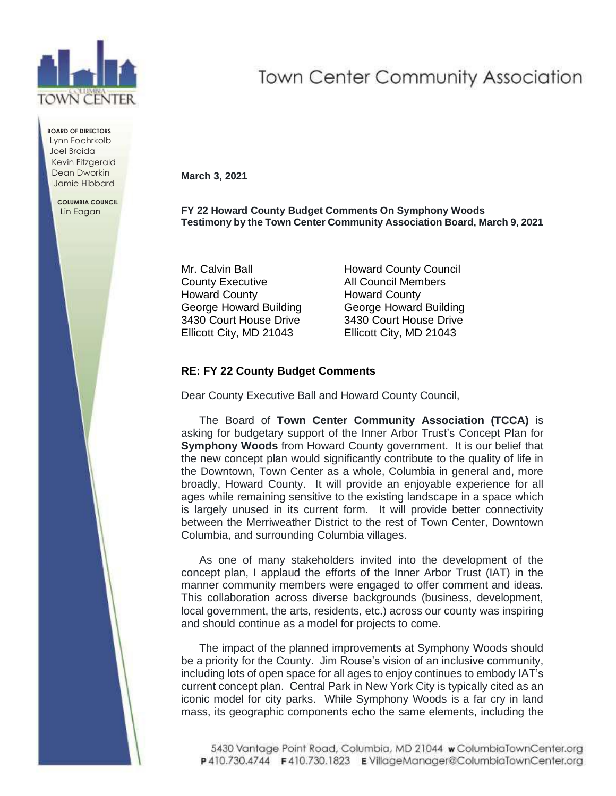

**BOARD OF DIRECTORS** Lynn Foehrkolb Joel Broida Kevin Fitzgerald Dean Dworkin Jamie Hibbard

> **COLUMBIA COUNCIL** Lin Eagan

## **Town Center Community Association**

**March 3, 2021**

**FY 22 Howard County Budget Comments On Symphony Woods Testimony by the Town Center Community Association Board, March 9, 2021**

Mr. Calvin Ball **Howard County Council** County Executive All Council Members Howard County Howard County George Howard Building George Howard Building 3430 Court House Drive 3430 Court House Drive Ellicott City, MD 21043 Ellicott City, MD 21043

## **RE: FY 22 County Budget Comments**

Dear County Executive Ball and Howard County Council,

The Board of **Town Center Community Association (TCCA)** is asking for budgetary support of the Inner Arbor Trust's Concept Plan for **Symphony Woods** from Howard County government. It is our belief that the new concept plan would significantly contribute to the quality of life in the Downtown, Town Center as a whole, Columbia in general and, more broadly, Howard County. It will provide an enjoyable experience for all ages while remaining sensitive to the existing landscape in a space which is largely unused in its current form. It will provide better connectivity between the Merriweather District to the rest of Town Center, Downtown Columbia, and surrounding Columbia villages.

As one of many stakeholders invited into the development of the concept plan, I applaud the efforts of the Inner Arbor Trust (IAT) in the manner community members were engaged to offer comment and ideas. This collaboration across diverse backgrounds (business, development, local government, the arts, residents, etc.) across our county was inspiring and should continue as a model for projects to come.

The impact of the planned improvements at Symphony Woods should be a priority for the County. Jim Rouse's vision of an inclusive community, including lots of open space for all ages to enjoy continues to embody IAT's current concept plan. Central Park in New York City is typically cited as an iconic model for city parks. While Symphony Woods is a far cry in land mass, its geographic components echo the same elements, including the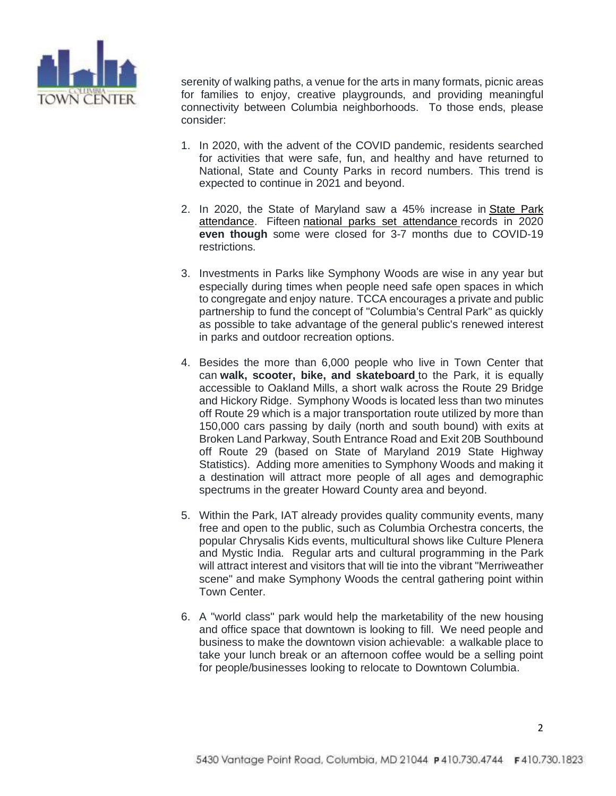

serenity of walking paths, a venue for the arts in many formats, picnic areas for families to enjoy, creative playgrounds, and providing meaningful connectivity between Columbia neighborhoods. To those ends, please consider:

- 1. In 2020, with the advent of the COVID pandemic, residents searched for activities that were safe, fun, and healthy and have returned to National, State and County Parks in record numbers. This trend is expected to continue in 2021 and beyond.
- 2. In 2020, the State of Maryland saw a 45% increase in [State](https://news.maryland.gov/dnr/2021/02/04/lt-governor-boyd-k-rutherford-maryland-department-of-natural-resources-announce-45-percent-increase-in-maryland-state-parks-attendance-in-2020/) Park [attendance.](https://news.maryland.gov/dnr/2021/02/04/lt-governor-boyd-k-rutherford-maryland-department-of-natural-resources-announce-45-percent-increase-in-maryland-state-parks-attendance-in-2020/) Fifteen national parks set [attendance](https://www.nps.gov/orgs/1207/02-25-21-national-parks-hosted-237-million-visitors-in-2020.htm) records in 2020 **even though** some were closed for 3-7 months due to COVID-19 restrictions.
- 3. Investments in Parks like Symphony Woods are wise in any year but especially during times when people need safe open spaces in which to congregate and enjoy nature. TCCA encourages a private and public partnership to fund the concept of "Columbia's Central Park" as quickly as possible to take advantage of the general public's renewed interest in parks and outdoor recreation options.
- 4. Besides the more than 6,000 people who live in Town Center that can **walk, scooter, bike, and skateboard** to the Park, it is equally accessible to Oakland Mills, a short walk across the Route 29 Bridge and Hickory Ridge. Symphony Woods is located less than two minutes off Route 29 which is a major transportation route utilized by more than 150,000 cars passing by daily (north and south bound) with exits at Broken Land Parkway, South Entrance Road and Exit 20B Southbound off Route 29 (based on State of Maryland 2019 State Highway Statistics). Adding more amenities to Symphony Woods and making it a destination will attract more people of all ages and demographic spectrums in the greater Howard County area and beyond.
- 5. Within the Park, IAT already provides quality community events, many free and open to the public, such as Columbia Orchestra concerts, the popular Chrysalis Kids events, multicultural shows like Culture Plenera and Mystic India. Regular arts and cultural programming in the Park will attract interest and visitors that will tie into the vibrant "Merriweather scene" and make Symphony Woods the central gathering point within Town Center.
- 6. A "world class" park would help the marketability of the new housing and office space that downtown is looking to fill. We need people and business to make the downtown vision achievable: a walkable place to take your lunch break or an afternoon coffee would be a selling point for people/businesses looking to relocate to Downtown Columbia.